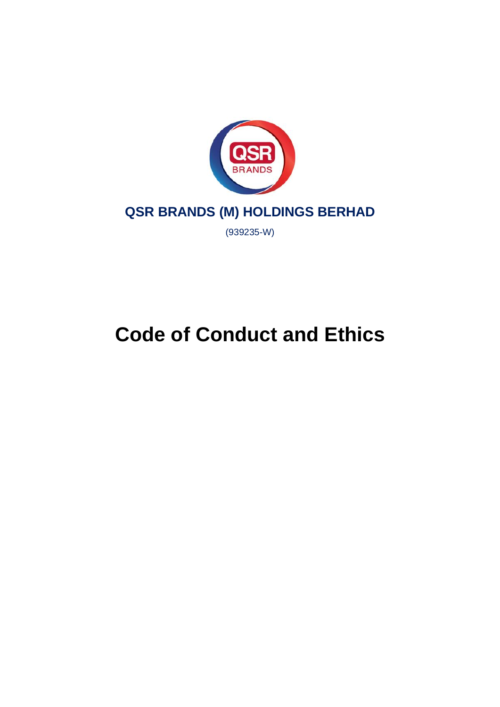

## **QSR BRANDS (M) HOLDINGS BERHAD**

(939235-W)

# **Code of Conduct and Ethics**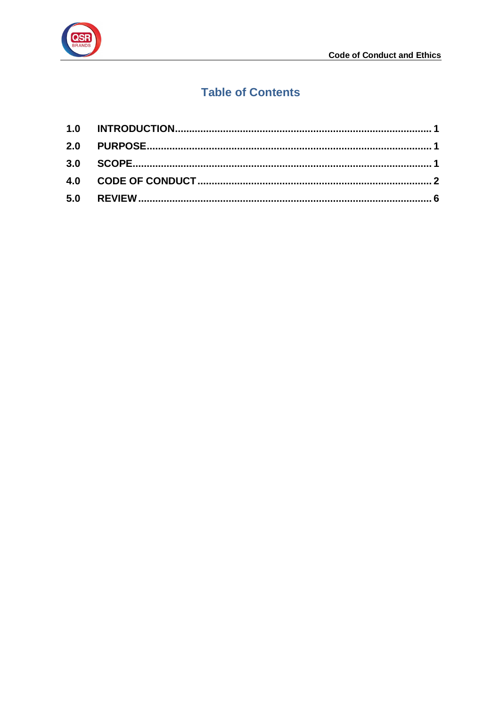

### **Table of Contents**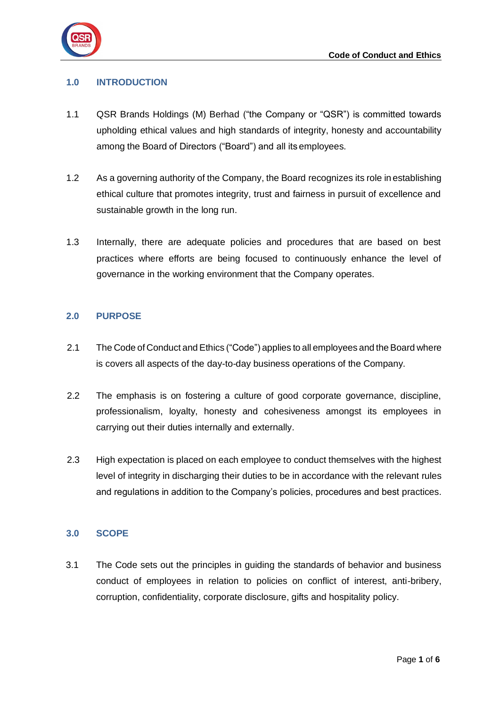

#### <span id="page-2-0"></span>**1.0 INTRODUCTION**

- 1.1 QSR Brands Holdings (M) Berhad ("the Company or "QSR") is committed towards upholding ethical values and high standards of integrity, honesty and accountability among the Board of Directors ("Board") and all its employees.
- 1.2 As a governing authority of the Company, the Board recognizes its role in establishing ethical culture that promotes integrity, trust and fairness in pursuit of excellence and sustainable growth in the long run.
- 1.3 Internally, there are adequate policies and procedures that are based on best practices where efforts are being focused to continuously enhance the level of governance in the working environment that the Company operates.

#### <span id="page-2-1"></span>**2.0 PURPOSE**

- 2.1 The Code of Conduct and Ethics ("Code") applies to all employees and the Board where is covers all aspects of the day-to-day business operations of the Company.
- 2.2 The emphasis is on fostering a culture of good corporate governance, discipline, professionalism, loyalty, honesty and cohesiveness amongst its employees in carrying out their duties internally and externally.
- 2.3 High expectation is placed on each employee to conduct themselves with the highest level of integrity in discharging their duties to be in accordance with the relevant rules and regulations in addition to the Company's policies, procedures and best practices.

#### <span id="page-2-2"></span>**3.0 SCOPE**

3.1 The Code sets out the principles in guiding the standards of behavior and business conduct of employees in relation to policies on conflict of interest, anti-bribery, corruption, confidentiality, corporate disclosure, gifts and hospitality policy.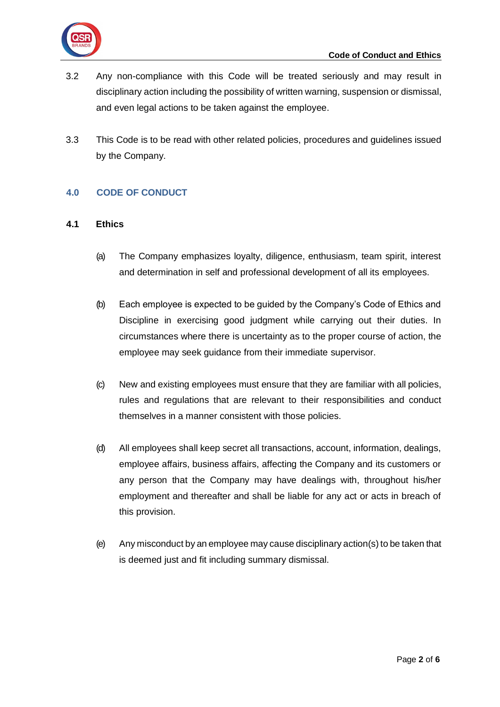- 3.2 Any non-compliance with this Code will be treated seriously and may result in disciplinary action including the possibility of written warning, suspension or dismissal, and even legal actions to be taken against the employee.
- 3.3 This Code is to be read with other related policies, procedures and guidelines issued by the Company.

#### <span id="page-3-0"></span>**4.0 CODE OF CONDUCT**

#### **4.1 Ethics**

- (a) The Company emphasizes loyalty, diligence, enthusiasm, team spirit, interest and determination in self and professional development of all its employees.
- (b) Each employee is expected to be guided by the Company's Code of Ethics and Discipline in exercising good judgment while carrying out their duties. In circumstances where there is uncertainty as to the proper course of action, the employee may seek guidance from their immediate supervisor.
- (c) New and existing employees must ensure that they are familiar with all policies, rules and regulations that are relevant to their responsibilities and conduct themselves in a manner consistent with those policies.
- (d) All employees shall keep secret all transactions, account, information, dealings, employee affairs, business affairs, affecting the Company and its customers or any person that the Company may have dealings with, throughout his/her employment and thereafter and shall be liable for any act or acts in breach of this provision.
- (e) Any misconduct by an employee may cause disciplinary action(s) to be taken that is deemed just and fit including summary dismissal.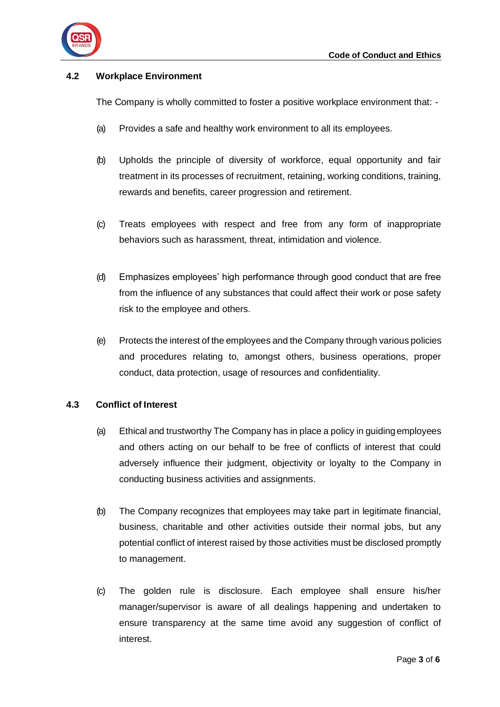

#### **4.2 Workplace Environment**

The Company is wholly committed to foster a positive workplace environment that: -

- (a) Provides a safe and healthy work environment to all its employees.
- (b) Upholds the principle of diversity of workforce, equal opportunity and fair treatment in its processes of recruitment, retaining, working conditions, training, rewards and benefits, career progression and retirement.
- (c) Treats employees with respect and free from any form of inappropriate behaviors such as harassment, threat, intimidation and violence.
- (d) Emphasizes employees' high performance through good conduct that are free from the influence of any substances that could affect their work or pose safety risk to the employee and others.
- (e) Protects the interest of the employees and the Company through various policies and procedures relating to, amongst others, business operations, proper conduct, data protection, usage of resources and confidentiality.

#### **4.3 Conflict of Interest**

- (a) Ethical and trustworthy The Company has in place a policy in guiding employees and others acting on our behalf to be free of conflicts of interest that could adversely influence their judgment, objectivity or loyalty to the Company in conducting business activities and assignments.
- (b) The Company recognizes that employees may take part in legitimate financial, business, charitable and other activities outside their normal jobs, but any potential conflict of interest raised by those activities must be disclosed promptly to management.
- (c) The golden rule is disclosure. Each employee shall ensure his/her manager/supervisor is aware of all dealings happening and undertaken to ensure transparency at the same time avoid any suggestion of conflict of interest.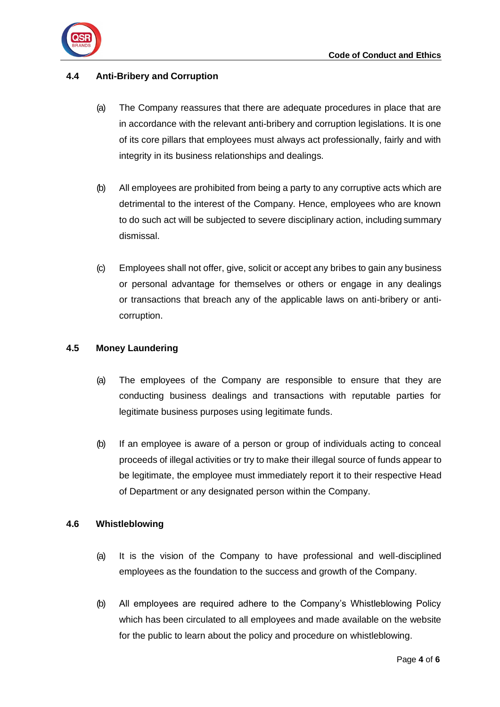

#### **4.4 Anti-Bribery and Corruption**

- (a) The Company reassures that there are adequate procedures in place that are in accordance with the relevant anti-bribery and corruption legislations. It is one of its core pillars that employees must always act professionally, fairly and with integrity in its business relationships and dealings.
- (b) All employees are prohibited from being a party to any corruptive acts which are detrimental to the interest of the Company. Hence, employees who are known to do such act will be subjected to severe disciplinary action, including summary dismissal.
- (c) Employees shall not offer, give, solicit or accept any bribes to gain any business or personal advantage for themselves or others or engage in any dealings or transactions that breach any of the applicable laws on anti-bribery or anticorruption.

#### **4.5 Money Laundering**

- (a) The employees of the Company are responsible to ensure that they are conducting business dealings and transactions with reputable parties for legitimate business purposes using legitimate funds.
- (b) If an employee is aware of a person or group of individuals acting to conceal proceeds of illegal activities or try to make their illegal source of funds appear to be legitimate, the employee must immediately report it to their respective Head of Department or any designated person within the Company.

#### **4.6 Whistleblowing**

- (a) It is the vision of the Company to have professional and well-disciplined employees as the foundation to the success and growth of the Company.
- (b) All employees are required adhere to the Company's Whistleblowing Policy which has been circulated to all employees and made available on the website for the public to learn about the policy and procedure on whistleblowing.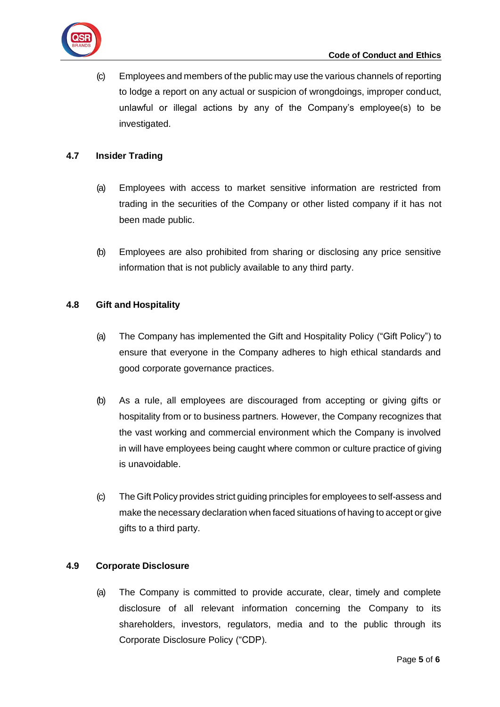(c) Employees and members of the public may use the various channels of reporting to lodge a report on any actual or suspicion of wrongdoings, improper conduct, unlawful or illegal actions by any of the Company's employee(s) to be investigated.

#### **4.7 Insider Trading**

- (a) Employees with access to market sensitive information are restricted from trading in the securities of the Company or other listed company if it has not been made public.
- (b) Employees are also prohibited from sharing or disclosing any price sensitive information that is not publicly available to any third party.

#### **4.8 Gift and Hospitality**

- (a) The Company has implemented the Gift and Hospitality Policy ("Gift Policy") to ensure that everyone in the Company adheres to high ethical standards and good corporate governance practices.
- (b) As a rule, all employees are discouraged from accepting or giving gifts or hospitality from or to business partners. However, the Company recognizes that the vast working and commercial environment which the Company is involved in will have employees being caught where common or culture practice of giving is unavoidable.
- (c) The Gift Policy provides strict guiding principles for employees to self-assess and make the necessary declaration when faced situations of having to accept or give gifts to a third party.

#### **4.9 Corporate Disclosure**

(a) The Company is committed to provide accurate, clear, timely and complete disclosure of all relevant information concerning the Company to its shareholders, investors, regulators, media and to the public through its Corporate Disclosure Policy ("CDP).